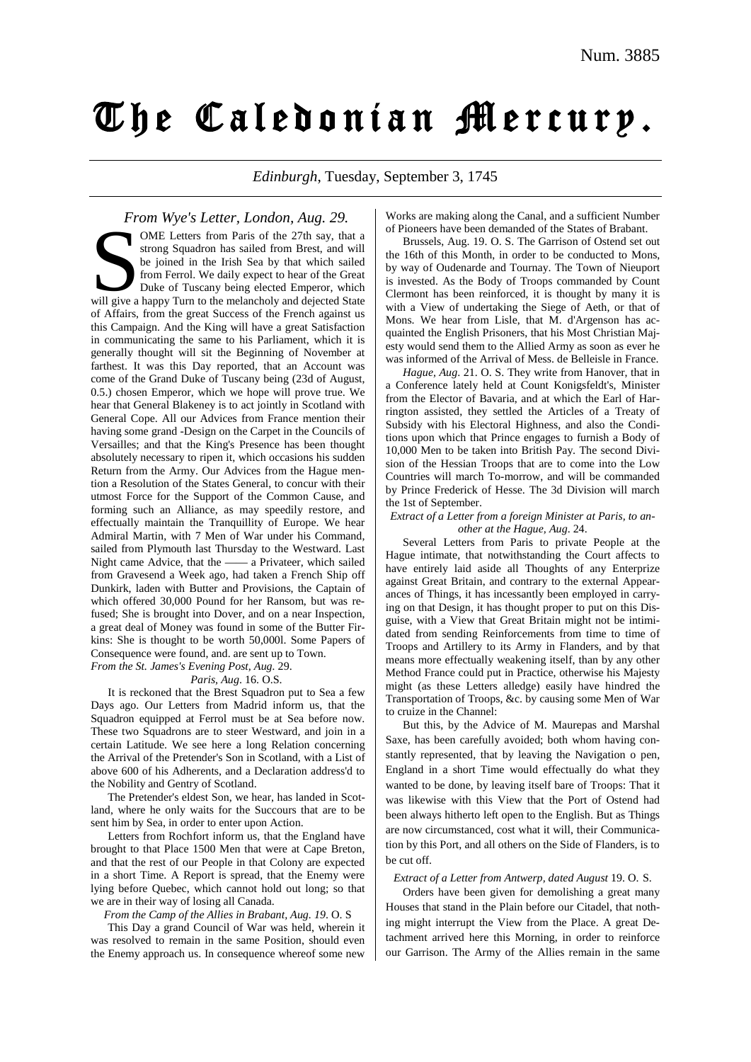# The Caledonian Mercury.

*Edinburgh*, Tuesday, September 3, 1745

*From Wye's Letter, London, Aug. 29.* OME Letters from Paris of the 27th say, that a strong Squadron has sailed from Brest, and will be joined in the Irish Sea by that which sailed from Ferrol. We daily expect to hear of the Great Duke of Tuscany being elected Emperor, which WHE Letters from Paris of the 27th say, that a strong Squadron has sailed from Brest, and will be joined in the Irish Sea by that which sailed from Ferrol. We daily expect to hear of the Great Duke of Tuscany being elected of Affairs, from the great Success of the French against us this Campaign. And the King will have a great Satisfaction in communicating the same to his Parliament, which it is generally thought will sit the Beginning of November at farthest. It was this Day reported, that an Account was come of the Grand Duke of Tuscany being (23d of August, 0.5.) chosen Emperor, which we hope will prove true. We hear that General Blakeney is to act jointly in Scotland with General Cope. All our Advices from France mention their having some grand -Design on the Carpet in the Councils of Versailles; and that the King's Presence has been thought absolutely necessary to ripen it, which occasions his sudden Return from the Army. Our Advices from the Hague mention a Resolution of the States General, to concur with their utmost Force for the Support of the Common Cause, and forming such an Alliance, as may speedily restore, and effectually maintain the Tranquillity of Europe. We hear Admiral Martin, with 7 Men of War under his Command, sailed from Plymouth last Thursday to the Westward. Last Night came Advice, that the —— a Privateer, which sailed from Gravesend a Week ago, had taken a French Ship off Dunkirk, laden with Butter and Provisions, the Captain of which offered 30,000 Pound for her Ransom, but was refused; She is brought into Dover, and on a near Inspection, a great deal of Money was found in some of the Butter Firkins: She is thought to be worth 50,000l. Some Papers of Consequence were found, and. are sent up to Town. *From the St. James's Evening Post, Aug.* 29.

### *Paris, Aug*. 16. O.S.

It is reckoned that the Brest Squadron put to Sea a few Days ago. Our Letters from Madrid inform us, that the Squadron equipped at Ferrol must be at Sea before now. These two Squadrons are to steer Westward, and join in a certain Latitude. We see here a long Relation concerning the Arrival of the Pretender's Son in Scotland, with a List of above 600 of his Adherents, and a Declaration address'd to the Nobility and Gentry of Scotland.

The Pretender's eldest Son, we hear, has landed in Scotland, where he only waits for the Succours that are to be sent him by Sea, in order to enter upon Action.

Letters from Rochfort inform us, that the England have brought to that Place 1500 Men that were at Cape Breton, and that the rest of our People in that Colony are expected in a short Time. A Report is spread, that the Enemy were lying before Quebec, which cannot hold out long; so that we are in their way of losing all Canada.

*From the Camp of the Allies in Brabant, Aug. 19*. O. S

This Day a grand Council of War was held, wherein it was resolved to remain in the same Position, should even the Enemy approach us. In consequence whereof some new

Works are making along the Canal, and a sufficient Number of Pioneers have been demanded of the States of Brabant.

Brussels, Aug. 19. O. S. The Garrison of Ostend set out the 16th of this Month, in order to be conducted to Mons, by way of Oudenarde and Tournay. The Town of Nieuport is invested. As the Body of Troops commanded by Count Clermont has been reinforced, it is thought by many it is with a View of undertaking the Siege of Aeth, or that of Mons. We hear from Lisle, that M. d'Argenson has acquainted the English Prisoners, that his Most Christian Majesty would send them to the Allied Army as soon as ever he was informed of the Arrival of Mess. de Belleisle in France.

*Hague, Aug*. 21. O. S. They write from Hanover, that in a Conference lately held at Count Konigsfeldt's, Minister from the Elector of Bavaria, and at which the Earl of Harrington assisted, they settled the Articles of a Treaty of Subsidy with his Electoral Highness, and also the Conditions upon which that Prince engages to furnish a Body of 10,000 Men to be taken into British Pay. The second Division of the Hessian Troops that are to come into the Low Countries will march To-morrow, and will be commanded by Prince Frederick of Hesse. The 3d Division will march the 1st of September.

#### *Extract of a Letter from a foreign Minister at Paris, to another at the Hague, Aug*. 24.

Several Letters from Paris to private People at the Hague intimate, that notwithstanding the Court affects to have entirely laid aside all Thoughts of any Enterprize against Great Britain, and contrary to the external Appearances of Things, it has incessantly been employed in carrying on that Design, it has thought proper to put on this Disguise, with a View that Great Britain might not be intimidated from sending Reinforcements from time to time of Troops and Artillery to its Army in Flanders, and by that means more effectually weakening itself, than by any other Method France could put in Practice, otherwise his Majesty might (as these Letters alledge) easily have hindred the Transportation of Troops, &c. by causing some Men of War to cruize in the Channel:

But this, by the Advice of M. Maurepas and Marshal Saxe, has been carefully avoided; both whom having constantly represented, that by leaving the Navigation o pen, England in a short Time would effectually do what they wanted to be done, by leaving itself bare of Troops: That it was likewise with this View that the Port of Ostend had been always hitherto left open to the English. But as Things are now circumstanced, cost what it will, their Communication by this Port, and all others on the Side of Flanders, is to be cut off.

#### *Extract of a Letter from Antwerp, dated August* 19. O. S.

Orders have been given for demolishing a great many Houses that stand in the Plain before our Citadel, that nothing might interrupt the View from the Place. A great Detachment arrived here this Morning, in order to reinforce our Garrison. The Army of the Allies remain in the same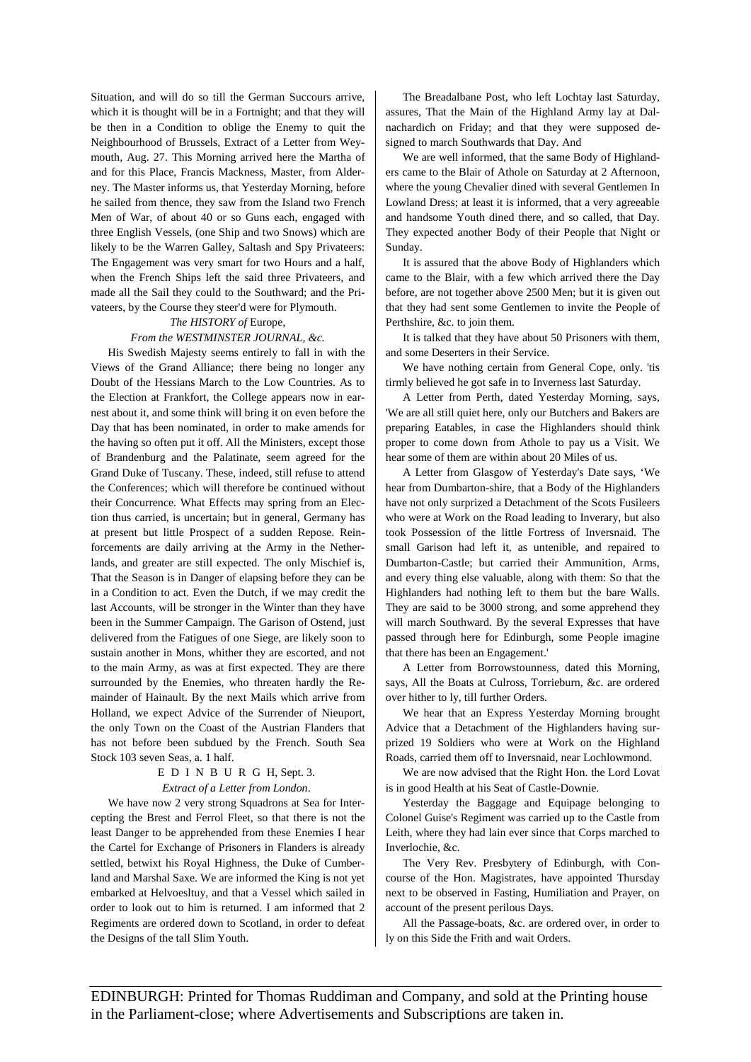Situation, and will do so till the German Succours arrive, which it is thought will be in a Fortnight; and that they will be then in a Condition to oblige the Enemy to quit the Neighbourhood of Brussels, Extract of a Letter from Weymouth, Aug. 27. This Morning arrived here the Martha of and for this Place, Francis Mackness, Master, from Alderney. The Master informs us, that Yesterday Morning, before he sailed from thence, they saw from the Island two French Men of War, of about 40 or so Guns each, engaged with three English Vessels, (one Ship and two Snows) which are likely to be the Warren Galley, Saltash and Spy Privateers: The Engagement was very smart for two Hours and a half, when the French Ships left the said three Privateers, and made all the Sail they could to the Southward; and the Privateers, by the Course they steer'd were for Plymouth.

# *The HISTORY of* Europe*, From the WESTMINSTER JOURNAL, &c.*

His Swedish Majesty seems entirely to fall in with the Views of the Grand Alliance; there being no longer any Doubt of the Hessians March to the Low Countries. As to the Election at Frankfort, the College appears now in earnest about it, and some think will bring it on even before the Day that has been nominated, in order to make amends for the having so often put it off. All the Ministers, except those of Brandenburg and the Palatinate, seem agreed for the Grand Duke of Tuscany. These, indeed, still refuse to attend the Conferences; which will therefore be continued without their Concurrence. What Effects may spring from an Election thus carried, is uncertain; but in general, Germany has at present but little Prospect of a sudden Repose. Reinforcements are daily arriving at the Army in the Netherlands, and greater are still expected. The only Mischief is, That the Season is in Danger of elapsing before they can be in a Condition to act. Even the Dutch, if we may credit the last Accounts, will be stronger in the Winter than they have been in the Summer Campaign. The Garison of Ostend, just delivered from the Fatigues of one Siege, are likely soon to sustain another in Mons, whither they are escorted, and not to the main Army, as was at first expected. They are there surrounded by the Enemies, who threaten hardly the Remainder of Hainault. By the next Mails which arrive from Holland, we expect Advice of the Surrender of Nieuport, the only Town on the Coast of the Austrian Flanders that has not before been subdued by the French. South Sea Stock 103 seven Seas, a. 1 half.

# EDINBURG H, Sept. 3. *Extract of a Letter from London*.

We have now 2 very strong Squadrons at Sea for Intercepting the Brest and Ferrol Fleet, so that there is not the least Danger to be apprehended from these Enemies I hear the Cartel for Exchange of Prisoners in Flanders is already settled, betwixt his Royal Highness, the Duke of Cumberland and Marshal Saxe. We are informed the King is not yet embarked at Helvoesltuy, and that a Vessel which sailed in order to look out to him is returned. I am informed that 2 Regiments are ordered down to Scotland, in order to defeat the Designs of the tall Slim Youth.

The Breadalbane Post, who left Lochtay last Saturday, assures, That the Main of the Highland Army lay at Dalnachardich on Friday; and that they were supposed designed to march Southwards that Day. And

We are well informed, that the same Body of Highlanders came to the Blair of Athole on Saturday at 2 Afternoon, where the young Chevalier dined with several Gentlemen In Lowland Dress; at least it is informed, that a very agreeable and handsome Youth dined there, and so called, that Day. They expected another Body of their People that Night or Sunday.

It is assured that the above Body of Highlanders which came to the Blair, with a few which arrived there the Day before, are not together above 2500 Men; but it is given out that they had sent some Gentlemen to invite the People of Perthshire, &c. to join them.

It is talked that they have about 50 Prisoners with them, and some Deserters in their Service.

We have nothing certain from General Cope, only. 'tis tirmly believed he got safe in to Inverness last Saturday.

A Letter from Perth, dated Yesterday Morning, says, 'We are all still quiet here, only our Butchers and Bakers are preparing Eatables, in case the Highlanders should think proper to come down from Athole to pay us a Visit. We hear some of them are within about 20 Miles of us.

A Letter from Glasgow of Yesterday's Date says, 'We hear from Dumbarton-shire, that a Body of the Highlanders have not only surprized a Detachment of the Scots Fusileers who were at Work on the Road leading to Inverary, but also took Possession of the little Fortress of Inversnaid. The small Garison had left it, as untenible, and repaired to Dumbarton-Castle; but carried their Ammunition, Arms, and every thing else valuable, along with them: So that the Highlanders had nothing left to them but the bare Walls. They are said to be 3000 strong, and some apprehend they will march Southward. By the several Expresses that have passed through here for Edinburgh, some People imagine that there has been an Engagement.'

A Letter from Borrowstounness, dated this Morning, says, All the Boats at Culross, Torrieburn, &c. are ordered over hither to ly, till further Orders.

We hear that an Express Yesterday Morning brought Advice that a Detachment of the Highlanders having surprized 19 Soldiers who were at Work on the Highland Roads, carried them off to Inversnaid, near Lochlowmond.

We are now advised that the Right Hon. the Lord Lovat is in good Health at his Seat of Castle-Downie.

Yesterday the Baggage and Equipage belonging to Colonel Guise's Regiment was carried up to the Castle from Leith, where they had lain ever since that Corps marched to Inverlochie, &c.

The Very Rev. Presbytery of Edinburgh, with Concourse of the Hon. Magistrates, have appointed Thursday next to be observed in Fasting, Humiliation and Prayer, on account of the present perilous Days.

All the Passage-boats, &c. are ordered over, in order to ly on this Side the Frith and wait Orders.

EDINBURGH: Printed for Thomas Ruddiman and Company, and sold at the Printing house in the Parliament-close; where Advertisements and Subscriptions are taken in.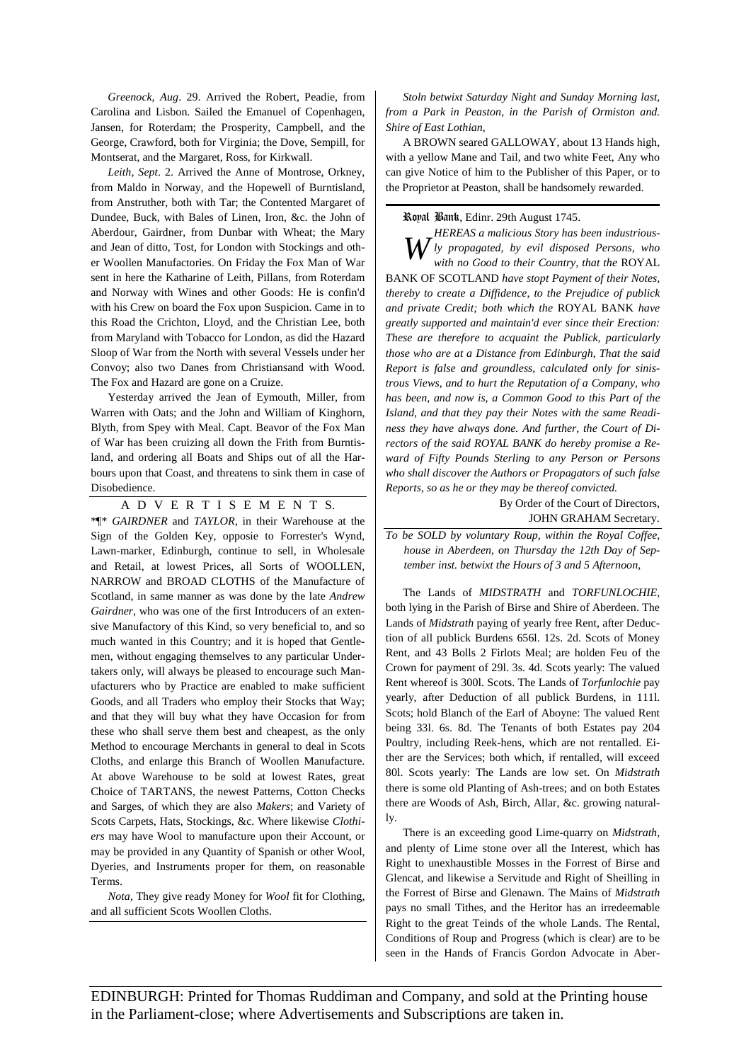*Greenock, Aug*. 29. Arrived the Robert, Peadie, from Carolina and Lisbon. Sailed the Emanuel of Copenhagen, Jansen, for Roterdam; the Prosperity, Campbell, and the George, Crawford, both for Virginia; the Dove, Sempill, for Montserat, and the Margaret, Ross, for Kirkwall.

*Leith, Sept*. 2. Arrived the Anne of Montrose, Orkney, from Maldo in Norway, and the Hopewell of Burntisland, from Anstruther, both with Tar; the Contented Margaret of Dundee, Buck, with Bales of Linen, Iron, &c. the John of Aberdour, Gairdner, from Dunbar with Wheat; the Mary and Jean of ditto, Tost, for London with Stockings and other Woollen Manufactories. On Friday the Fox Man of War sent in here the Katharine of Leith, Pillans, from Roterdam and Norway with Wines and other Goods: He is confin'd with his Crew on board the Fox upon Suspicion. Came in to this Road the Crichton, Lloyd, and the Christian Lee, both from Maryland with Tobacco for London, as did the Hazard Sloop of War from the North with several Vessels under her Convoy; also two Danes from Christiansand with Wood. The Fox and Hazard are gone on a Cruize.

Yesterday arrived the Jean of Eymouth, Miller, from Warren with Oats; and the John and William of Kinghorn, Blyth, from Spey with Meal. Capt. Beavor of the Fox Man of War has been cruizing all down the Frith from Burntisland, and ordering all Boats and Ships out of all the Harbours upon that Coast, and threatens to sink them in case of Disobedience.

ADVERTISEMENT S. \*¶\* *GAIRDNER* and *TAYLOR*, in their Warehouse at the Sign of the Golden Key, opposie to Forrester's Wynd, Lawn-marker, Edinburgh, continue to sell, in Wholesale and Retail, at lowest Prices, all Sorts of WOOLLEN, NARROW and BROAD CLOTHS of the Manufacture of Scotland, in same manner as was done by the late *Andrew Gairdner*, who was one of the first Introducers of an extensive Manufactory of this Kind, so very beneficial to, and so much wanted in this Country; and it is hoped that Gentlemen, without engaging themselves to any particular Undertakers only, will always be pleased to encourage such Manufacturers who by Practice are enabled to make sufficient Goods, and all Traders who employ their Stocks that Way; and that they will buy what they have Occasion for from these who shall serve them best and cheapest, as the only Method to encourage Merchants in general to deal in Scots Cloths, and enlarge this Branch of Woollen Manufacture. At above Warehouse to be sold at lowest Rates, great Choice of TARTANS, the newest Patterns, Cotton Checks and Sarges, of which they are also *Makers*; and Variety of Scots Carpets, Hats, Stockings, &c. Where likewise *Clothiers* may have Wool to manufacture upon their Account, or may be provided in any Quantity of Spanish or other Wool, Dyeries, and Instruments proper for them, on reasonable Terms.

*Nota*, They give ready Money for *Wool* fit for Clothing, and all sufficient Scots Woollen Cloths.

*Stoln betwixt Saturday Night and Sunday Morning last, from a Park in Peaston, in the Parish of Ormiston and. Shire of East Lothian,*

A BROWN seared GALLOWAY, about 13 Hands high, with a yellow Mane and Tail, and two white Feet, Any who can give Notice of him to the Publisher of this Paper, or to the Proprietor at Peaston, shall be handsomely rewarded.

Royal Bank, Edinr. 29th August 1745.

*HEREAS a malicious Story has been industriously by propagated, by evil disposed Persons, who with no Good to their Country, that the ROYAL with no Good to their Country, that the* ROYAL BANK OF SCOTLAND *have stopt Payment of their Notes, thereby to create a Diffidence, to the Prejudice of publick and private Credit; both which the* ROYAL BANK *have greatly supported and maintain'd ever since their Erection: These are therefore to acquaint the Publick, particularly those who are at a Distance from Edinburgh, That the said Report is false and groundless, calculated only for sinistrous Views, and to hurt the Reputation of a Company, who has been, and now is, a Common Good to this Part of the Island, and that they pay their Notes with the same Readiness they have always done. And further, the Court of Directors of the said ROYAL BANK do hereby promise a Reward of Fifty Pounds Sterling to any Person or Persons who shall discover the Authors or Propagators of such false Reports, so as he or they may be thereof convicted.*

> By Order of the Court of Directors, JOHN GRAHAM Secretary.

*To be SOLD by voluntary Roup, within the Royal Coffee, house in Aberdeen, on Thursday the 12th Day of September inst. betwixt the Hours of 3 and 5 Afternoon,* 

The Lands of *MIDSTRATH* and *TORFUNLOCHIE*, both lying in the Parish of Birse and Shire of Aberdeen. The Lands of *Midstrath* paying of yearly free Rent, after Deduction of all publick Burdens 656l. 12s. 2d. Scots of Money Rent, and 43 Bolls 2 Firlots Meal; are holden Feu of the Crown for payment of 29l. 3s. 4d. Scots yearly: The valued Rent whereof is 300l. Scots. The Lands of *Torfunlochie* pay yearly, after Deduction of all publick Burdens, in 111l. Scots; hold Blanch of the Earl of Aboyne: The valued Rent being 33l. 6s. 8d. The Tenants of both Estates pay 204 Poultry, including Reek-hens, which are not rentalled. Either are the Services; both which, if rentalled, will exceed 80l. Scots yearly: The Lands are low set. On *Midstrath* there is some old Planting of Ash-trees; and on both Estates there are Woods of Ash, Birch, Allar, &c. growing naturally.

There is an exceeding good Lime-quarry on *Midstrath*, and plenty of Lime stone over all the Interest, which has Right to unexhaustible Mosses in the Forrest of Birse and Glencat, and likewise a Servitude and Right of Sheilling in the Forrest of Birse and Glenawn. The Mains of *Midstrath* pays no small Tithes, and the Heritor has an irredeemable Right to the great Teinds of the whole Lands. The Rental, Conditions of Roup and Progress (which is clear) are to be seen in the Hands of Francis Gordon Advocate in Aber-

EDINBURGH: Printed for Thomas Ruddiman and Company, and sold at the Printing house in the Parliament-close; where Advertisements and Subscriptions are taken in.